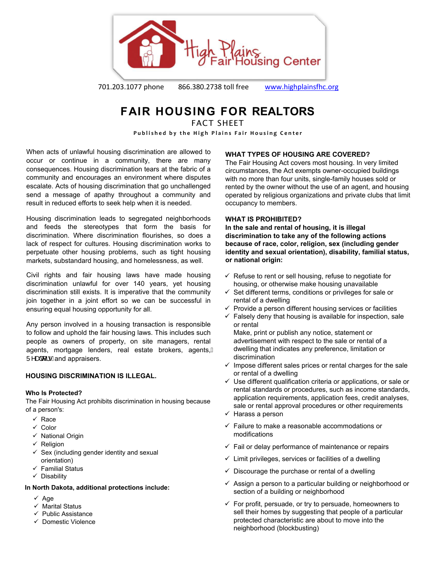

701.203.1077 phone 866.380.2738 toll free [www.highplainsfhc.org](http://www.highplainsfhc.org/)

# **FAIR HOUSING FOR REALTORS**

FACT SHFFT

Published by the High Plains Fair Housing Center

When acts of unlawful housing discrimination are allowed to occur or continue in a community, there are many consequences. Housing discrimination tears at the fabric of a community and encourages an environment where disputes escalate. Acts of housing discrimination that go unchallenged send a message of apathy throughout a community and result in reduced efforts to seek help when it is needed.

Housing discrimination leads to segregated neighborhoods and feeds the stereotypes that form the basis for discrimination. Where discrimination flourishes, so does a lack of respect for cultures. Housing discrimination works to perpetuate other housing problems, such as tight housing markets, substandard housing, and homelessness, as well.

Civil rights and fair housing laws have made housing discrimination unlawful for over 140 years, yet housing discrimination still exists. It is imperative that the community join together in a joint effort so we can be successful in ensuring equal housing opportunity for all.

Any person involved in a housing transaction is responsible to follow and uphold the fair housing laws. This includes such people as owners of property, on site managers, rental agents, mortgage lenders, real estate brokers, agents,  $Ü^{\wedge}$ add  $\vdash$  Áand appraisers.

# **HOUSING DISCRIMINATION IS ILLEGAL.**

# **Who Is Protected?**

The Fair Housing Act prohibits discrimination in housing because of a person's:

- $\checkmark$  Race
- $\checkmark$  Color
- $\checkmark$  National Origin
- $\checkmark$  Religion
- $\checkmark$  Sex (including gender identity and sexual orientation)
- $\checkmark$  Familial Status
- $\checkmark$  Disability

# **In North Dakota, additional protections include:**

- $\checkmark$  Age
- $\checkmark$  Marital Status
- $\checkmark$  Public Assistance
- $\checkmark$  Domestic Violence

# **WHAT TYPES OF HOUSING ARE COVERED?**

The Fair Housing Act covers most housing. In very limited circumstances, the Act exempts owner-occupied buildings with no more than four units, single-family houses sold or rented by the owner without the use of an agent, and housing operated by religious organizations and private clubs that limit occupancy to members.

# **WHAT IS PROHIBITED?**

**In the sale and rental of housing, it is illegal discrimination to take any of the following actions because of race, color, religion, sex (including gender identity and sexual orientation), disability, familial status, or national origin:**

- $\checkmark$  Refuse to rent or sell housing, refuse to negotiate for housing, or otherwise make housing unavailable
- $\checkmark$  Set different terms, conditions or privileges for sale or rental of a dwelling
- $\checkmark$  Provide a person different housing services or facilities
- $\checkmark$  Falsely deny that housing is available for inspection, sale or rental

Make, print or publish any notice, statement or advertisement with respect to the sale or rental of a dwelling that indicates any preference, limitation or discrimination

- $\checkmark$  Impose different sales prices or rental charges for the sale or rental of a dwelling
- $\checkmark$  Use different qualification criteria or applications, or sale or rental standards or procedures, such as income standards, application requirements, application fees, credit analyses, sale or rental approval procedures or other requirements
- $\checkmark$  Harass a person
- $\checkmark$  Failure to make a reasonable accommodations or modifications
- $\checkmark$  Fail or delay performance of maintenance or repairs
- $\checkmark$  Limit privileges, services or facilities of a dwelling
- $\checkmark$  Discourage the purchase or rental of a dwelling
- $\checkmark$  Assign a person to a particular building or neighborhood or section of a building or neighborhood
- $\checkmark$  For profit, persuade, or try to persuade, homeowners to sell their homes by suggesting that people of a particular protected characteristic are about to move into the neighborhood (blockbusting)